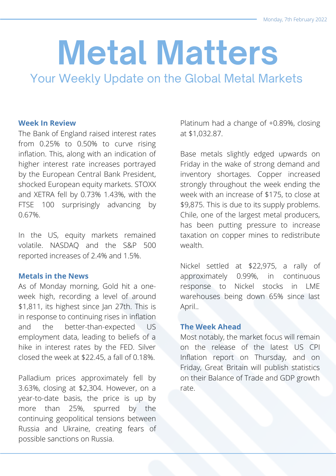# **Metal Matters**

Your Weekly Update on the Global Metal Markets

#### **Week In Review**

The Bank of England raised interest rates from 0.25% to 0.50% to curve rising inflation. This, along with an indication of higher interest rate increases portrayed by the European Central Bank President, shocked European equity markets. STOXX and XETRA fell by 0.73% 1.43%, with the FTSE 100 surprisingly advancing by 0.67%.

In the US, equity markets remained volatile. NASDAQ and the S&P 500 reported increases of 2.4% and 1.5%.

#### **Metals in the News**

As of Monday morning, Gold hit a oneweek high, recording a level of around \$1,811, its highest since Jan 27th. This is in response to continuing rises in inflation and the better-than-expected US employment data, leading to beliefs of a hike in interest rates by the FED. Silver closed the week at \$22.45, a fall of 0.18%.

Palladium prices approximately fell by 3.63%, closing at \$2,304. However, on a year-to-date basis, the price is up by more than 25%, spurred by the continuing geopolitical tensions between Russia and Ukraine, creating fears of possible sanctions on Russia.

Platinum had a change of +0.89%, closing at \$1,032.87.

Base metals slightly edged upwards on Friday in the wake of strong demand and inventory shortages. Copper increased strongly throughout the week ending the week with an increase of \$175, to close at \$9,875. This is due to its supply problems. Chile, one of the largest metal producers, has been putting pressure to increase taxation on copper mines to redistribute wealth.

Nickel settled at \$22,975, a rally of approximately 0.99%, in continuous response to Nickel stocks in LME warehouses being down 65% since last April..

#### **The Week Ahead**

Most notably, the market focus will remain on the release of the latest US CPI Inflation report on Thursday, and on Friday, Great Britain will publish statistics on their Balance of Trade and GDP growth rate.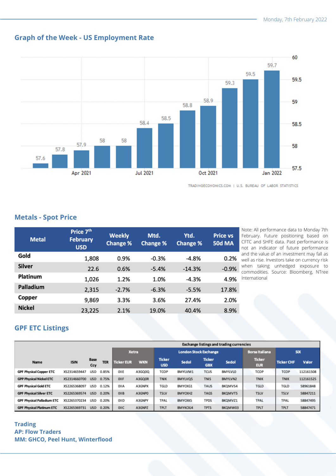## **Graph of the Week - US Employment Rate**



TRADINGECONOMICS.COM | U.S. BUREAU OF LABOR STATISTICS

#### **Metals - Spot Price**

| <b>Metal</b>  | Price 7 <sup>th</sup><br><b>February</b><br><b>USD</b> | <b>Weekly</b><br><b>Change %</b> | Mtd.<br><b>Change %</b> | Ytd.<br><b>Change %</b> | <b>Price vs</b><br><b>50d MA</b> |
|---------------|--------------------------------------------------------|----------------------------------|-------------------------|-------------------------|----------------------------------|
| Gold          | 1,808                                                  | 0.9%                             | $-0.3%$                 | $-4.8%$                 | 0.2%                             |
| <b>Silver</b> | 22.6                                                   | 0.6%                             | $-5.4%$                 | $-14.3%$                | $-0.9%$                          |
| Platinum      | 1,026                                                  | 1.2%                             | 1.0%                    | $-4.3%$                 | 4.9%                             |
| Palladium     | 2,315                                                  | $-2.7%$                          | $-6.3%$                 | $-5.5%$                 | 17.8%                            |
| Copper        | 9,869                                                  | 3.3%                             | 3.6%                    | 27.4%                   | 2.0%                             |
| <b>Nickel</b> | 23,225                                                 | 2.1%                             | 19.0%                   | 40.4%                   | 8.9%                             |

Note: All performance data to Monday 7th February. Future positioning based on CFTC and SHFE data. Past performance is not an indicator of future performance and the value of an investment may fall as well as rise. Investors take on currency risk when taking unhedged exposure to commodities. Source: Bloomberg, NTree International

### **GPF ETC Listings**

|                                   |              |                    |            | <b>Exchange listings and trading currencies</b> |            |                              |                |                             |         |                             |                   |           |
|-----------------------------------|--------------|--------------------|------------|-------------------------------------------------|------------|------------------------------|----------------|-----------------------------|---------|-----------------------------|-------------------|-----------|
|                                   |              |                    |            | <b>Xetra</b>                                    |            | <b>London Stock Exchange</b> |                |                             |         | <b>Borsa Italiana</b>       | <b>SIX</b>        |           |
| Name                              | <b>ISIN</b>  | <b>Base</b><br>Ccy | <b>TER</b> | <b>Ticker EUR</b>                               | <b>WKN</b> | <b>Ticker</b><br><b>USD</b>  | Sedol          | <b>Ticker</b><br><b>GBX</b> | Sedol   | <b>Ticker</b><br><b>EUR</b> | <b>Ticker CHF</b> | Valor     |
| <b>GPF Physical Copper ETC</b>    | XS2314659447 | <b>USD</b>         | 0.85%      | OIIE                                            | A3GQ0Q     | TCOP                         | BMYLVM1        | TCUS                        | BMYLVLO | TCOP                        | TCOP              | 112161508 |
| <b>GPP Physical Nickel ETC</b>    | XS2314660700 | <b>USD</b>         | 0.75%      | OIIF                                            | A3GQ0R     | <b>TNIK</b>                  | BMYLVQ5        | <b>TNIS</b>                 | BMYLVN2 | <b>TNIK</b>                 | <b>TNIK</b>       | 112161525 |
| <b>GPF Physical Gold ETC</b>      | XS2265368097 | <b>USD</b>         | 0.12%      | OIIA                                            | A3GNPX     | TGLD                         | BMYCKG1        | TAUS                        | BKQMVS4 | <b>TGLD</b>                 | <b>TGLD</b>       | 58961848  |
| <b>GPF Physical Silver ETC</b>    | XS2265369574 | <b>USD</b>         | 0.20%      | OIIB                                            | A3GNP0     | <b>TSLV</b>                  | BMYCKH2        | <b>TAGS</b>                 | BKQMVT5 | <b>TSLV</b>                 | <b>TSLV</b>       | 58847211  |
| <b>GPF Physical Palladium ETC</b> | XS2265370234 | <b>USD</b>         | 0.20%      | OIID                                            | A3GNPY     | TPAL                         | <b>BMYCKK5</b> | <b>TPDS</b>                 | BKQMVZ1 | TPAL                        | TPAL              | 58847495  |
| <b>GPF Physical Platinum ETC</b>  | XS2265369731 | <b>USD</b>         | 0.20%      | OIIC                                            | A3GNPZ     | <b>TPLT</b>                  | BMYKCKJ4       | <b>TPTS</b>                 | BKQMW03 | <b>TPLT</b>                 | TPLT              | 58847471  |

#### **Trading AP: Flow Traders MM: GHCO, Peel Hunt, Winterflood**